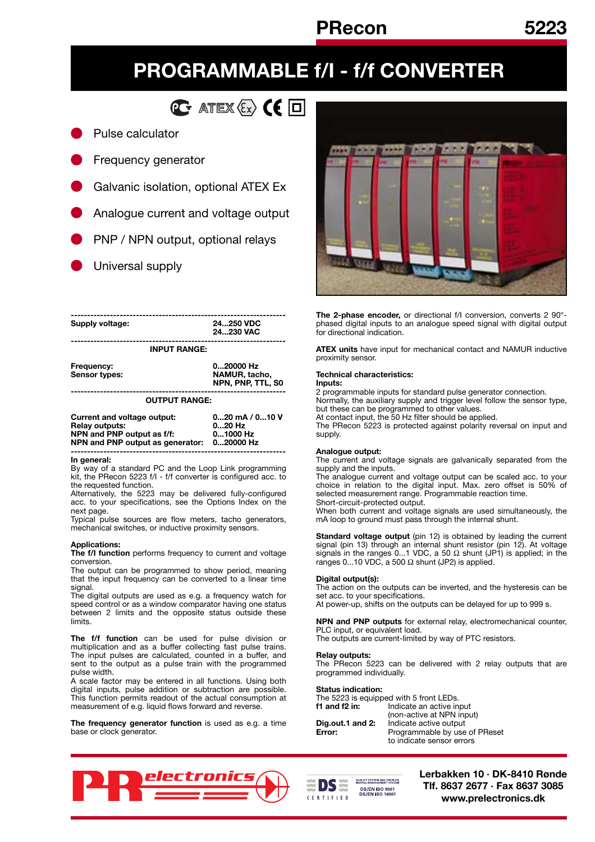**PRecon 5223**

# **PROGRAMMABLE f/I - f/f CONVERTER**

**C** ATEX  $\langle \xi_x \rangle$  ( $\in \Box$ 

Pulse calculator

- Frequency generator
- Galvanic isolation, optional ATEX Ex
- Analogue current and voltage output
- PNP / NPN output, optional relays
- Universal supply

**------------------------------------------------------------------ Supply voltage: 24...250 VDC 24...230 VAC ------------------------------------------------------------------ INPUT RANGE:**

**Frequency:** 0...20000 Hz<br>
Sensor types: 0...20000 Hz<br>
NAMUR, tac **NAMUR, tacho, NPN, PNP, TTL, S0 ------------------------------------------------------------------**

### **OUTPUT RANGE:**

#### **In general:**

By way of a standard PC and the Loop Link programming kit, the PRecon 5223 f/I - f/f converter is configured acc. to the requested function.

Alternatively, the 5223 may be delivered fully-configured acc. to your specifications, see the Options Index on the next page.

Typical pulse sources are flow meters, tacho generators, mechanical switches, or inductive proximity sensors.

### **Applications:**

**The f/I function** performs frequency to current and voltage conversion.

The output can be programmed to show period, meaning that the input frequency can be converted to a linear time signal.

The digital outputs are used as e.g. a frequency watch for speed control or as a window comparator having one status between 2 limits and the opposite status outside these limits.

**The f/f function** can be used for pulse division or multiplication and as a buffer collecting fast pulse trains. The input pulses are calculated, counted in a buffer, and sent to the output as a pulse train with the programmed pulse width.

A scale factor may be entered in all functions. Using both digital inputs, pulse addition or subtraction are possible. This function permits readout of the actual consumption at measurement of e.g. liquid flows forward and reverse.

**The frequency generator function** is used as e.g. a time base or clock generator.



**The 2-phase encoder,** or directional f/I conversion, converts 2 90° phased digital inputs to an analogue speed signal with digital output for directional indication.

**ATEX units** have input for mechanical contact and NAMUR inductive proximity sensor.

### **Technical characteristics:**

**Inputs:**

2 programmable inputs for standard pulse generator connection. Normally, the auxiliary supply and trigger level follow the sensor type, but these can be programmed to other values. At contact input, the 50 Hz filter should be applied.

The PRecon 5223 is protected against polarity reversal on input and supply.

### **Analogue output:**

The current and voltage signals are galvanically separated from the supply and the inputs.

The analogue current and voltage output can be scaled acc. to your choice in relation to the digital input. Max. zero offset is 50% of selected measurement range. Programmable reaction time. Short-circuit-protected output.

When both current and voltage signals are used simultaneously, the mA loop to ground must pass through the internal shunt.

**Standard voltage output** (pin 12) is obtained by leading the current signal (pin 13) through an internal shunt resistor (pin 12). At voltage signals in the ranges 0...1 VDC, a 50  $\Omega$  shunt (JP1) is applied; in the ranges 0...10 VDC, a 500  $\Omega$  shunt (JP2) is applied.

### **Digital output(s):**

The action on the outputs can be inverted, and the hysteresis can be set acc. to your specifications.

At power-up, shifts on the outputs can be delayed for up to 999 s.

**NPN and PNP outputs** for external relay, electromechanical counter, PLC input, or equivalent load.

The outputs are current-limited by way of PTC resistors.

 $\overline{a}$  with  $\overline{c}$  front LEDs.

#### **Relay outputs:**

The PRecon 5223 can be delivered with 2 relay outputs that are programmed individually.

#### **Status indication:**

|                  | THE 3223 IS EQUIPPED WILL 3 HOLL LEDS. |
|------------------|----------------------------------------|
| f1 and f2 in:    | Indicate an active input               |
|                  | (non-active at NPN input)              |
| Dig.out.1 and 2: | Indicate active output                 |
| Error:           | Programmable by use of PReset          |
|                  | to indicate sensor errors              |





**Lerbakken 10 · DK-8410 Rønde Tlf. 8637 2677 · Fax 8637 3085 www.prelectronics.dk**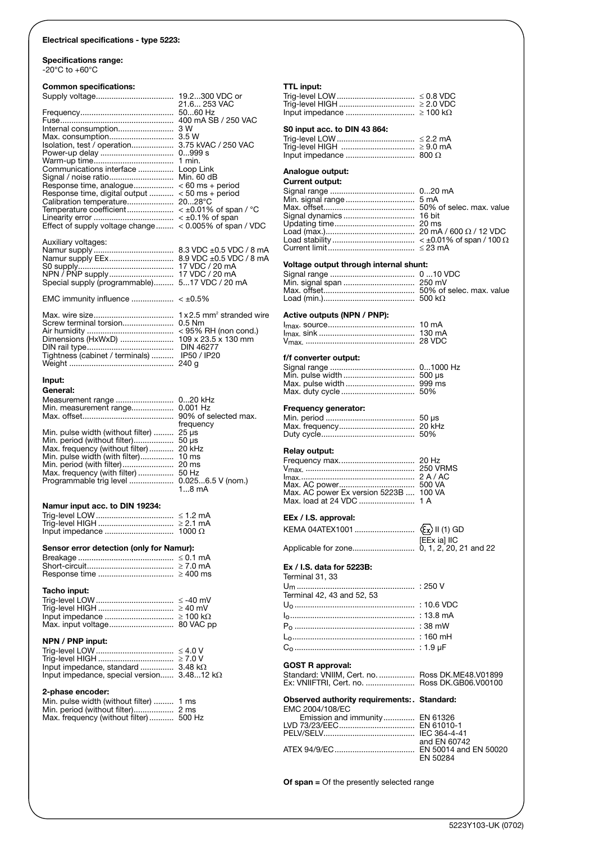### **Electrical specifications - type 5223:**

**Specifications range:** -20°C to +60°C

### **Common specifications:**

| Fuse……………………………………………<br>Internal consumption<br>Max. consumption<br>Isolation, test / operation<br>Power-up delay<br>Communications interface<br>Signal / noise ratio<br>Response time, analogue<br>Response time, digital output<br>Calibration temperature<br>Temperature coefficient<br>Effect of supply voltage change | 21.6 253 VAC<br>400 mA SB / 250 VAC<br>3 W<br>3.5 W<br>3.75 kVAC / 250 VAC<br>0999 s<br>$1$ min.<br>Loop Link<br>Min. 60 dB<br>$< 60$ ms + period<br>$< 50$ ms + period<br>$2028$ °C<br>$\epsilon$ ±0.01% of span / °C<br>$<$ $\pm$ 0.1% of span<br>$< 0.005\%$ of span / VDC |
|-----------------------------------------------------------------------------------------------------------------------------------------------------------------------------------------------------------------------------------------------------------------------------------------------------------------------------|-------------------------------------------------------------------------------------------------------------------------------------------------------------------------------------------------------------------------------------------------------------------------------|
| Auxiliary voltages:<br>Namur supply EEx<br>NPN / PNP supply<br>Special supply (programmable)                                                                                                                                                                                                                                | 8.3 VDC $\pm$ 0.5 VDC / 8 mA<br>8.9 VDC ±0.5 VDC / 8 mA<br>17 VDC / 20 mA<br>17 VDC / 20 mA<br>517 VDC / 20 mA                                                                                                                                                                |
|                                                                                                                                                                                                                                                                                                                             |                                                                                                                                                                                                                                                                               |
| Screw terminal torsion<br>Dimensions (HxWxD)<br>Tightness (cabinet / terminals)                                                                                                                                                                                                                                             | $1x2.5$ mm <sup>2</sup> stranded wire<br>$0.5$ Nm<br>$<$ 95% RH (non cond.)<br>109 x 23.5 x 130 mm<br><b>DIN 46277</b><br>IP50 / IP20<br>240 g                                                                                                                                |
| Input:                                                                                                                                                                                                                                                                                                                      |                                                                                                                                                                                                                                                                               |

### **General:**

|                                          | frequency |
|------------------------------------------|-----------|
| Min. pulse width (without filter)  25 us |           |
|                                          |           |
| Max. frequency (without filter) 20 kHz   |           |
|                                          |           |
|                                          |           |
|                                          |           |
|                                          |           |
|                                          | $18$ mA   |

### **Namur input acc. to DIN 19234:**

### **Sensor error detection (only for Namur):**

#### **Tacho input:** Trig-level LOW ................................... ≤ -40 mV Trig-level HIGH .................................. ≥ 40 mV

### **NPN / PNP input:**

| Input impedance, standard  3.48 $k\Omega$         |  |
|---------------------------------------------------|--|
| Input impedance, special version 3.4812 $k\Omega$ |  |

#### **2-phase encoder:**

| Min. pulse width (without filter)       | 1 ms |
|-----------------------------------------|------|
| Min. period (without filter)            | 2 ms |
| Max. frequency (without filter)  500 Hz |      |

### **TTL input:**

## **S0 input acc. to DIN 43 864:**

#### **Analogue output: Current output:**

| Gurrent output: |  |
|-----------------|--|
|                 |  |
|                 |  |
|                 |  |
|                 |  |
|                 |  |
|                 |  |
|                 |  |
|                 |  |
|                 |  |

### **Voltage output through internal shunt:**

### **Active outputs (NPN / PNP):**

### **f/f converter output:**

### **Frequency generator:**

### **Relay output:**

| Max. AC power Ex version 5223B  100 VA |  |
|----------------------------------------|--|
|                                        |  |
|                                        |  |

### **EEx / I.S. approval:**

| [EEx ia] IIC |
|--------------|
|              |

#### **Ex / I.S. data for 5223B:** minal 31, 33

| دد . آد الـ Ierrillial              |  |
|-------------------------------------|--|
|                                     |  |
| Terminal 42, 43 and 52, 53          |  |
|                                     |  |
| $\mathsf{I}_{\mathsf{O}}$ : 13.8 mA |  |
|                                     |  |
| Lowendon, 160 mH                    |  |
|                                     |  |
|                                     |  |

#### **GOST R approval:**

Standard: VNIIM, Cert. no. ................ Ross DK.ME48.V01899 Ex: VNIIFTRI, Cert. no. ...................... Ross DK.GB06.V00100

### **Observed authority requirements: . Standard:** EMC 2004/108/EC

| Emission and immunity EN 61326 |              |
|--------------------------------|--------------|
|                                |              |
|                                |              |
|                                | and EN 60742 |
|                                |              |
|                                | FN 50284     |

**Of span =** Of the presently selected range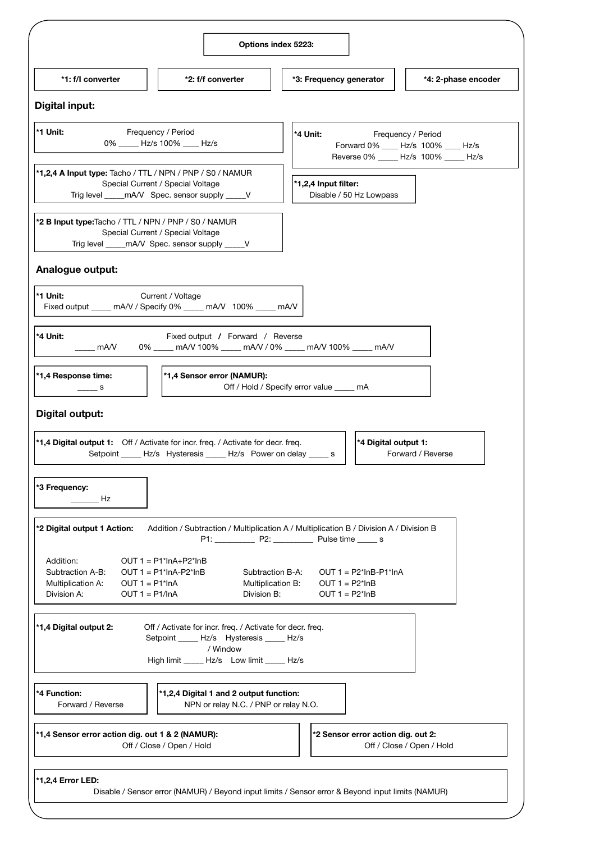|                                                                                                                                                                                                     | Options index 5223:                                                                                                                                                |                                                                                                                                                        |                           |
|-----------------------------------------------------------------------------------------------------------------------------------------------------------------------------------------------------|--------------------------------------------------------------------------------------------------------------------------------------------------------------------|--------------------------------------------------------------------------------------------------------------------------------------------------------|---------------------------|
| *1: f/l converter                                                                                                                                                                                   | *2: f/f converter                                                                                                                                                  | *3: Frequency generator                                                                                                                                | *4: 2-phase encoder       |
| Digital input:                                                                                                                                                                                      |                                                                                                                                                                    |                                                                                                                                                        |                           |
| *1 Unit:<br>Frequency / Period<br>0% ____ Hz/s 100% ___ Hz/s                                                                                                                                        |                                                                                                                                                                    | *4 Unit:<br>Frequency / Period<br>Forward 0% ____ Hz/s 100% ____ Hz/s<br>Reverse 0% _____ Hz/s 100% _____ Hz/s                                         |                           |
| *1,2,4 A Input type: Tacho / TTL / NPN / PNP / S0 / NAMUR<br>Special Current / Special Voltage<br>Trig level _____ mA/V Spec. sensor supply _____ V                                                 |                                                                                                                                                                    | *1,2,4 Input filter:<br>Disable / 50 Hz Lowpass                                                                                                        |                           |
| *2 B Input type:Tacho / TTL / NPN / PNP / S0 / NAMUR<br>Special Current / Special Voltage<br>Trig level mA/V Spec. sensor supply V                                                                  |                                                                                                                                                                    |                                                                                                                                                        |                           |
| Analogue output:                                                                                                                                                                                    |                                                                                                                                                                    |                                                                                                                                                        |                           |
| *1 Unit:<br>Fixed output ____ mA/V / Specify 0% ____ mA/V 100% ____ mA/V                                                                                                                            | Current / Voltage                                                                                                                                                  |                                                                                                                                                        |                           |
| *4 Unit:<br>mA/V                                                                                                                                                                                    | Fixed output / Forward / Reverse<br>0% ____ mA/V 100% ____ mA/V / 0% ____ mA/V 100% ____ mA/V                                                                      |                                                                                                                                                        |                           |
| *1,4 Response time:<br>$\frac{1}{\sqrt{2}}$ s                                                                                                                                                       | *1,4 Sensor error (NAMUR):                                                                                                                                         | Off / Hold / Specify error value _____ mA                                                                                                              |                           |
| <b>Digital output:</b>                                                                                                                                                                              |                                                                                                                                                                    |                                                                                                                                                        |                           |
| *1,4 Digital output 1: Off / Activate for incr. freq. / Activate for decr. freq.<br>*4 Digital output 1:<br>Setpoint ______ Hz/s Hysteresis ______ Hz/s Power on delay _____ s<br>Forward / Reverse |                                                                                                                                                                    |                                                                                                                                                        |                           |
| *3 Frequency:<br>Hz                                                                                                                                                                                 |                                                                                                                                                                    |                                                                                                                                                        |                           |
| *2 Digital output 1 Action:                                                                                                                                                                         |                                                                                                                                                                    | Addition / Subtraction / Multiplication A / Multiplication B / Division A / Division B<br>P1: _______________ P2: ________________ Pulse time ______ s |                           |
| Addition:<br>Subtraction A-B:<br>Multiplication A:<br>OUT $1 = P1$ <sup>*</sup> lnA<br>Division A:<br>$OUT 1 = P1/lnA$                                                                              | $OUT 1 = P1*InA+P2*InB$<br>OUT $1 = P1$ *lnA-P2*lnB<br>Subtraction B-A:<br>Multiplication B:<br>Division B:                                                        | OUT $1 = P2^{\ast}$ InB-P1 $^{\ast}$ InA<br>OUT $1 = P2^{\ast}$ lnB<br>$OUT 1 = P2*InB$                                                                |                           |
| *1,4 Digital output 2:                                                                                                                                                                              | Off / Activate for incr. freq. / Activate for decr. freq.<br>Setpoint ______ Hz/s Hysteresis _____ Hz/s<br>/ Window<br>High limit ______ Hz/s Low limit _____ Hz/s |                                                                                                                                                        |                           |
| *4 Function:<br>Forward / Reverse                                                                                                                                                                   | *1,2,4 Digital 1 and 2 output function:<br>NPN or relay N.C. / PNP or relay N.O.                                                                                   |                                                                                                                                                        |                           |
| *1,4 Sensor error action dig. out 1 & 2 (NAMUR):                                                                                                                                                    | Off / Close / Open / Hold                                                                                                                                          | *2 Sensor error action dig. out 2:                                                                                                                     | Off / Close / Open / Hold |
| *1,2,4 Error LED:                                                                                                                                                                                   |                                                                                                                                                                    | Disable / Sensor error (NAMUR) / Beyond input limits / Sensor error & Beyond input limits (NAMUR)                                                      |                           |